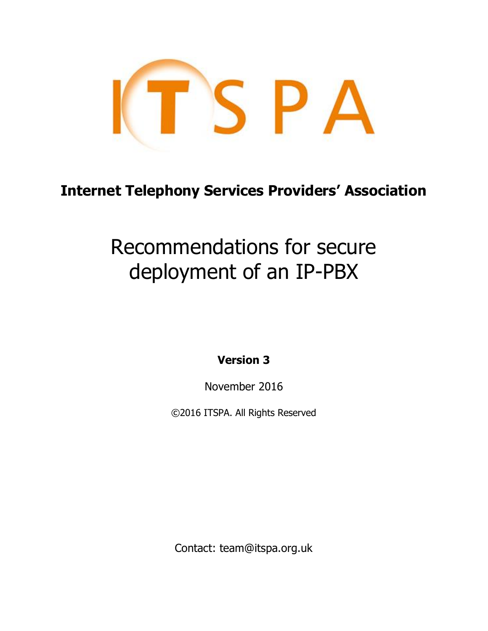

# **Internet Telephony Services Providers' Association**

# Recommendations for secure deployment of an IP-PBX

**Version 3**

November 2016

©2016 ITSPA. All Rights Reserved

Contact: team@itspa.org.uk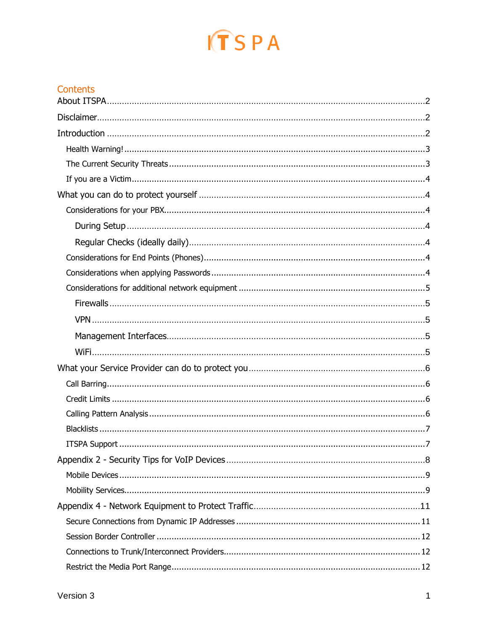# $ITSPA$

#### Contents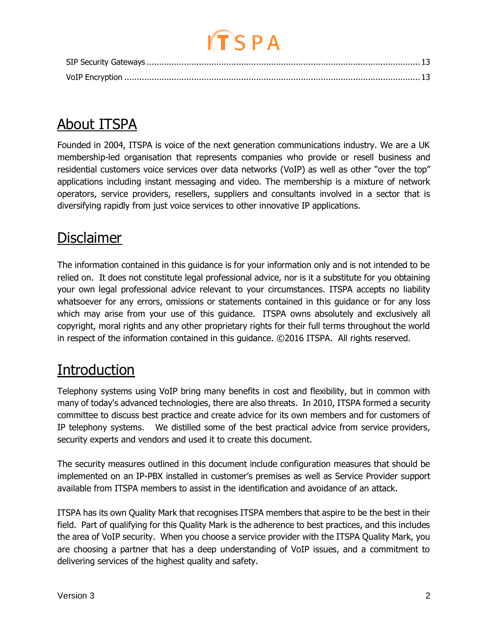# <span id="page-2-0"></span>About ITSPA

Founded in 2004, ITSPA is voice of the next generation communications industry. We are a UK membership-led organisation that represents companies who provide or resell business and residential customers voice services over data networks (VoIP) as well as other "over the top" applications including instant messaging and video. The membership is a mixture of network operators, service providers, resellers, suppliers and consultants involved in a sector that is diversifying rapidly from just voice services to other innovative IP applications.

# <span id="page-2-1"></span>**Disclaimer**

The information contained in this guidance is for your information only and is not intended to be relied on. It does not constitute legal professional advice, nor is it a substitute for you obtaining your own legal professional advice relevant to your circumstances. ITSPA accepts no liability whatsoever for any errors, omissions or statements contained in this guidance or for any loss which may arise from your use of this guidance. ITSPA owns absolutely and exclusively all copyright, moral rights and any other proprietary rights for their full terms throughout the world in respect of the information contained in this guidance. ©2016 ITSPA. All rights reserved.

# <span id="page-2-2"></span>**Introduction**

Telephony systems using VoIP bring many benefits in cost and flexibility, but in common with many of today's advanced technologies, there are also threats. In 2010, ITSPA formed a security committee to discuss best practice and create advice for its own members and for customers of IP telephony systems. We distilled some of the best practical advice from service providers, security experts and vendors and used it to create this document.

The security measures outlined in this document include configuration measures that should be implemented on an IP-PBX installed in customer's premises as well as Service Provider support available from ITSPA members to assist in the identification and avoidance of an attack.

ITSPA has its own Quality Mark that recognises ITSPA members that aspire to be the best in their field. Part of qualifying for this Quality Mark is the adherence to best practices, and this includes the area of VoIP security. When you choose a service provider with the ITSPA Quality Mark, you are choosing a partner that has a deep understanding of VoIP issues, and a commitment to delivering services of the highest quality and safety.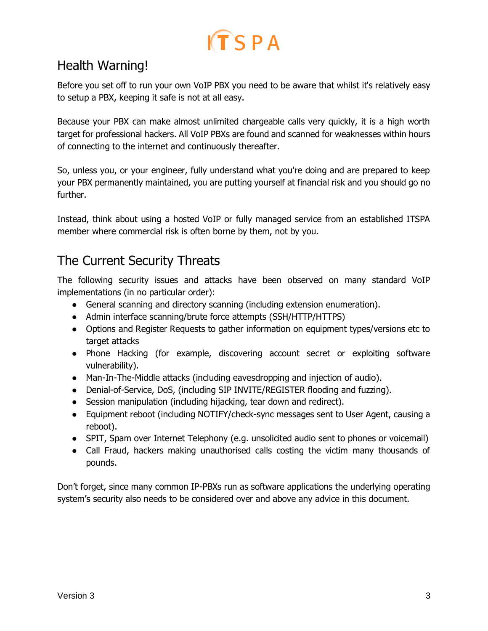## <span id="page-3-0"></span>Health Warning!

Before you set off to run your own VoIP PBX you need to be aware that whilst it's relatively easy to setup a PBX, keeping it safe is not at all easy.

Because your PBX can make almost unlimited chargeable calls very quickly, it is a high worth target for professional hackers. All VoIP PBXs are found and scanned for weaknesses within hours of connecting to the internet and continuously thereafter.

So, unless you, or your engineer, fully understand what you're doing and are prepared to keep your PBX permanently maintained, you are putting yourself at financial risk and you should go no further.

Instead, think about using a hosted VoIP or fully managed service from an established ITSPA member where commercial risk is often borne by them, not by you.

### <span id="page-3-1"></span>The Current Security Threats

The following security issues and attacks have been observed on many standard VoIP implementations (in no particular order):

- General scanning and directory scanning (including extension enumeration).
- Admin interface scanning/brute force attempts (SSH/HTTP/HTTPS)
- Options and Register Requests to gather information on equipment types/versions etc to target attacks
- Phone Hacking (for example, discovering account secret or exploiting software vulnerability).
- Man-In-The-Middle attacks (including eavesdropping and injection of audio).
- Denial-of-Service, DoS, (including SIP INVITE/REGISTER flooding and fuzzing).
- Session manipulation (including hijacking, tear down and redirect).
- Equipment reboot (including NOTIFY/check-sync messages sent to User Agent, causing a reboot).
- SPIT, Spam over Internet Telephony (e.g. unsolicited audio sent to phones or voicemail)
- Call Fraud, hackers making unauthorised calls costing the victim many thousands of pounds.

Don't forget, since many common IP-PBXs run as software applications the underlying operating system's security also needs to be considered over and above any advice in this document.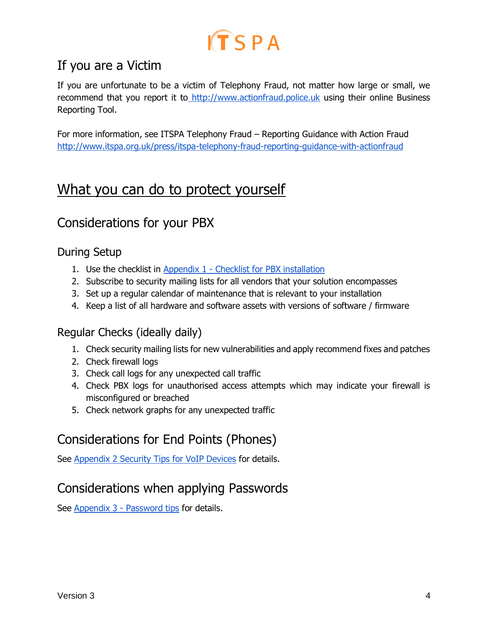## <span id="page-4-0"></span>If you are a Victim

If you are unfortunate to be a victim of Telephony Fraud, not matter how large or small, we recommend that you report it to [http://www.actionfraud.police.uk](http://www.actionfraud.police.uk/) using their online Business Reporting Tool.

For more information, see ITSPA Telephony Fraud – Reporting Guidance with Action Fraud <http://www.itspa.org.uk/press/itspa-telephony-fraud-reporting-guidance-with-actionfraud>

# <span id="page-4-1"></span>What you can do to protect yourself

## <span id="page-4-2"></span>Considerations for your PBX

#### <span id="page-4-3"></span>During Setup

- 1. Use the checklist in Appendix 1 [Checklist for PBX installation](#page-7-2)
- 2. Subscribe to security mailing lists for all vendors that your solution encompasses
- 3. Set up a regular calendar of maintenance that is relevant to your installation
- 4. Keep a list of all hardware and software assets with versions of software / firmware

#### <span id="page-4-4"></span>Regular Checks (ideally daily)

- 1. Check security mailing lists for new vulnerabilities and apply recommend fixes and patches
- 2. Check firewall logs
- 3. Check call logs for any unexpected call traffic
- 4. Check PBX logs for unauthorised access attempts which may indicate your firewall is misconfigured or breached
- 5. Check network graphs for any unexpected traffic

## <span id="page-4-5"></span>Considerations for End Points (Phones)

<span id="page-4-6"></span>See [Appendix 2 Security Tips for VoIP Devices](#page-8-0) for details.

## Considerations when applying Passwords

See Appendix 3 - [Password tips](#page-10-0) for details.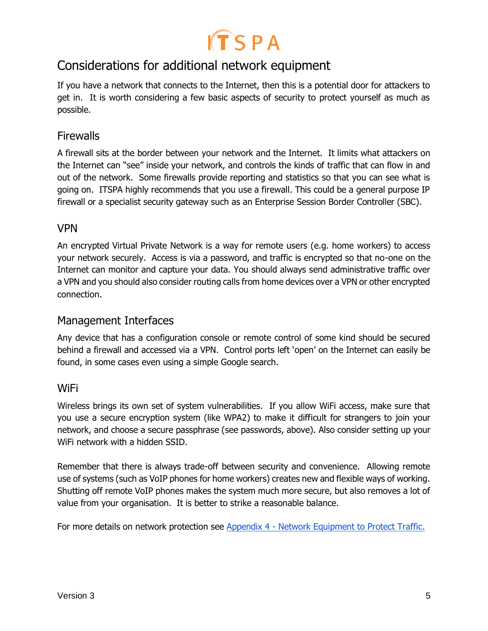

### <span id="page-5-0"></span>Considerations for additional network equipment

If you have a network that connects to the Internet, then this is a potential door for attackers to get in. It is worth considering a few basic aspects of security to protect yourself as much as possible.

#### <span id="page-5-1"></span>**Firewalls**

A firewall sits at the border between your network and the Internet. It limits what attackers on the Internet can "see" inside your network, and controls the kinds of traffic that can flow in and out of the network. Some firewalls provide reporting and statistics so that you can see what is going on. ITSPA highly recommends that you use a firewall. This could be a general purpose IP firewall or a specialist security gateway such as an Enterprise Session Border Controller (SBC).

#### <span id="page-5-2"></span>VPN

An encrypted Virtual Private Network is a way for remote users (e.g. home workers) to access your network securely. Access is via a password, and traffic is encrypted so that no-one on the Internet can monitor and capture your data. You should always send administrative traffic over a VPN and you should also consider routing calls from home devices over a VPN or other encrypted connection.

#### <span id="page-5-3"></span>Management Interfaces

Any device that has a configuration console or remote control of some kind should be secured behind a firewall and accessed via a VPN. Control ports left 'open' on the Internet can easily be found, in some cases even using a simple Google search.

#### <span id="page-5-4"></span>WiFi

Wireless brings its own set of system vulnerabilities. If you allow WiFi access, make sure that you use a secure encryption system (like WPA2) to make it difficult for strangers to join your network, and choose a secure passphrase (see passwords, above). Also consider setting up your WiFi network with a hidden SSID.

Remember that there is always trade-off between security and convenience. Allowing remote use of systems (such as VoIP phones for home workers) creates new and flexible ways of working. Shutting off remote VoIP phones makes the system much more secure, but also removes a lot of value from your organisation. It is better to strike a reasonable balance.

For more details on network protection see Appendix 4 - [Network Equipment to Protect Traffic.](#page-11-0)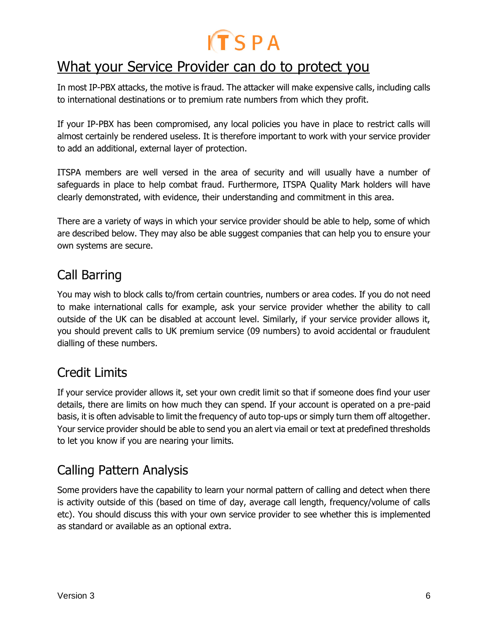# <span id="page-6-0"></span>What your Service Provider can do to protect you

In most IP-PBX attacks, the motive is fraud. The attacker will make expensive calls, including calls to international destinations or to premium rate numbers from which they profit.

If your IP-PBX has been compromised, any local policies you have in place to restrict calls will almost certainly be rendered useless. It is therefore important to work with your service provider to add an additional, external layer of protection.

ITSPA members are well versed in the area of security and will usually have a number of safeguards in place to help combat fraud. Furthermore, ITSPA Quality Mark holders will have clearly demonstrated, with evidence, their understanding and commitment in this area.

There are a variety of ways in which your service provider should be able to help, some of which are described below. They may also be able suggest companies that can help you to ensure your own systems are secure.

### <span id="page-6-1"></span>Call Barring

You may wish to block calls to/from certain countries, numbers or area codes. If you do not need to make international calls for example, ask your service provider whether the ability to call outside of the UK can be disabled at account level. Similarly, if your service provider allows it, you should prevent calls to UK premium service (09 numbers) to avoid accidental or fraudulent dialling of these numbers.

## <span id="page-6-2"></span>Credit Limits

If your service provider allows it, set your own credit limit so that if someone does find your user details, there are limits on how much they can spend. If your account is operated on a pre-paid basis, it is often advisable to limit the frequency of auto top-ups or simply turn them off altogether. Your service provider should be able to send you an alert via email or text at predefined thresholds to let you know if you are nearing your limits.

## <span id="page-6-3"></span>Calling Pattern Analysis

Some providers have the capability to learn your normal pattern of calling and detect when there is activity outside of this (based on time of day, average call length, frequency/volume of calls etc). You should discuss this with your own service provider to see whether this is implemented as standard or available as an optional extra.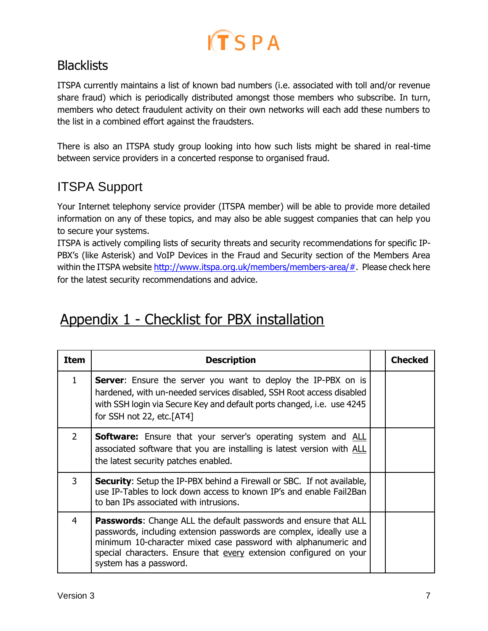

### <span id="page-7-0"></span>**Blacklists**

ITSPA currently maintains a list of known bad numbers (i.e. associated with toll and/or revenue share fraud) which is periodically distributed amongst those members who subscribe. In turn, members who detect fraudulent activity on their own networks will each add these numbers to the list in a combined effort against the fraudsters.

There is also an ITSPA study group looking into how such lists might be shared in real-time between service providers in a concerted response to organised fraud.

## <span id="page-7-1"></span>ITSPA Support

Your Internet telephony service provider (ITSPA member) will be able to provide more detailed information on any of these topics, and may also be able suggest companies that can help you to secure your systems.

ITSPA is actively compiling lists of security threats and security recommendations for specific IP-PBX's (like Asterisk) and VoIP Devices in the Fraud and Security section of the Members Area within the ITSPA website [http://www.itspa.org.uk/members/members-area/#.](http://www.itspa.org.uk/members/members-area/) Please check here for the latest security recommendations and advice.

# <span id="page-7-2"></span>Appendix 1 - Checklist for PBX installation

| <b>Item</b>    | <b>Description</b>                                                                                                                                                                                                                                                                                              | <b>Checked</b> |
|----------------|-----------------------------------------------------------------------------------------------------------------------------------------------------------------------------------------------------------------------------------------------------------------------------------------------------------------|----------------|
| $\mathbf{1}$   | <b>Server:</b> Ensure the server you want to deploy the IP-PBX on is<br>hardened, with un-needed services disabled, SSH Root access disabled<br>with SSH login via Secure Key and default ports changed, i.e. use 4245<br>for SSH not 22, etc.[AT4]                                                             |                |
| $\overline{2}$ | <b>Software:</b> Ensure that your server's operating system and ALL<br>associated software that you are installing is latest version with ALL<br>the latest security patches enabled.                                                                                                                           |                |
| 3              | <b>Security:</b> Setup the IP-PBX behind a Firewall or SBC. If not available,<br>use IP-Tables to lock down access to known IP's and enable Fail2Ban<br>to ban IPs associated with intrusions.                                                                                                                  |                |
| $\overline{4}$ | <b>Passwords:</b> Change ALL the default passwords and ensure that ALL<br>passwords, including extension passwords are complex, ideally use a<br>minimum 10-character mixed case password with alphanumeric and<br>special characters. Ensure that every extension configured on your<br>system has a password. |                |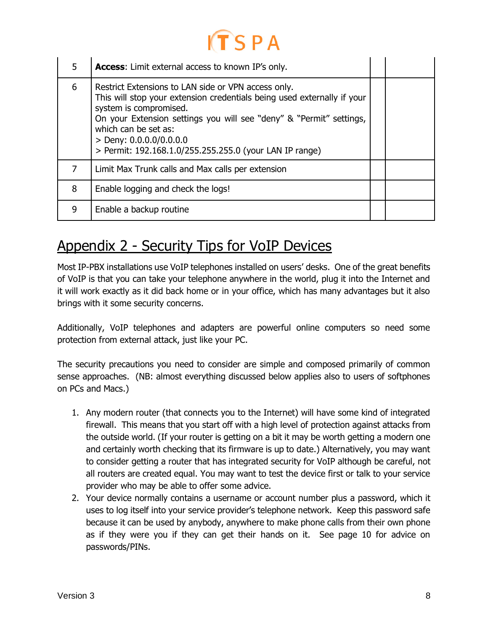| 5 | <b>Access:</b> Limit external access to known IP's only.                                                                                                                                                                                                                                                                                        |  |
|---|-------------------------------------------------------------------------------------------------------------------------------------------------------------------------------------------------------------------------------------------------------------------------------------------------------------------------------------------------|--|
| 6 | Restrict Extensions to LAN side or VPN access only.<br>This will stop your extension credentials being used externally if your<br>system is compromised.<br>On your Extension settings you will see "deny" & "Permit" settings,<br>which can be set as:<br>> Deny: $0.0.0.0/0.0.0.0$<br>> Permit: 192.168.1.0/255.255.255.0 (your LAN IP range) |  |
| 7 | Limit Max Trunk calls and Max calls per extension                                                                                                                                                                                                                                                                                               |  |
| 8 | Enable logging and check the logs!                                                                                                                                                                                                                                                                                                              |  |
| 9 | Enable a backup routine                                                                                                                                                                                                                                                                                                                         |  |

# <span id="page-8-0"></span>Appendix 2 - Security Tips for VoIP Devices

Most IP-PBX installations use VoIP telephones installed on users' desks. One of the great benefits of VoIP is that you can take your telephone anywhere in the world, plug it into the Internet and it will work exactly as it did back home or in your office, which has many advantages but it also brings with it some security concerns.

Additionally, VoIP telephones and adapters are powerful online computers so need some protection from external attack, just like your PC.

The security precautions you need to consider are simple and composed primarily of common sense approaches. (NB: almost everything discussed below applies also to users of softphones on PCs and Macs.)

- 1. Any modern router (that connects you to the Internet) will have some kind of integrated firewall. This means that you start off with a high level of protection against attacks from the outside world. (If your router is getting on a bit it may be worth getting a modern one and certainly worth checking that its firmware is up to date.) Alternatively, you may want to consider getting a router that has integrated security for VoIP although be careful, not all routers are created equal. You may want to test the device first or talk to your service provider who may be able to offer some advice.
- 2. Your device normally contains a username or account number plus a password, which it uses to log itself into your service provider's telephone network. Keep this password safe because it can be used by anybody, anywhere to make phone calls from their own phone as if they were you if they can get their hands on it. See page 10 for advice on passwords/PINs.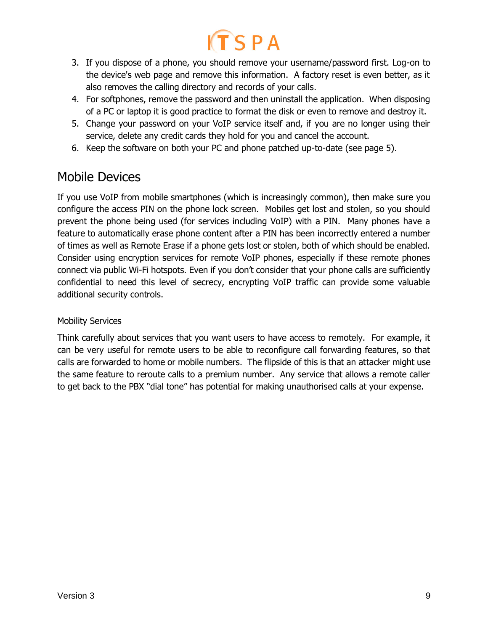- 3. If you dispose of a phone, you should remove your username/password first. Log-on to the device's web page and remove this information. A factory reset is even better, as it also removes the calling directory and records of your calls.
- 4. For softphones, remove the password and then uninstall the application. When disposing of a PC or laptop it is good practice to format the disk or even to remove and destroy it.
- 5. Change your password on your VoIP service itself and, if you are no longer using their service, delete any credit cards they hold for you and cancel the account.
- 6. Keep the software on both your PC and phone patched up-to-date (see page 5).

### <span id="page-9-0"></span>Mobile Devices

If you use VoIP from mobile smartphones (which is increasingly common), then make sure you configure the access PIN on the phone lock screen. Mobiles get lost and stolen, so you should prevent the phone being used (for services including VoIP) with a PIN. Many phones have a feature to automatically erase phone content after a PIN has been incorrectly entered a number of times as well as Remote Erase if a phone gets lost or stolen, both of which should be enabled. Consider using encryption services for remote VoIP phones, especially if these remote phones connect via public Wi-Fi hotspots. Even if you don't consider that your phone calls are sufficiently confidential to need this level of secrecy, encrypting VoIP traffic can provide some valuable additional security controls.

#### <span id="page-9-1"></span>Mobility Services

Think carefully about services that you want users to have access to remotely. For example, it can be very useful for remote users to be able to reconfigure call forwarding features, so that calls are forwarded to home or mobile numbers. The flipside of this is that an attacker might use the same feature to reroute calls to a premium number. Any service that allows a remote caller to get back to the PBX "dial tone" has potential for making unauthorised calls at your expense.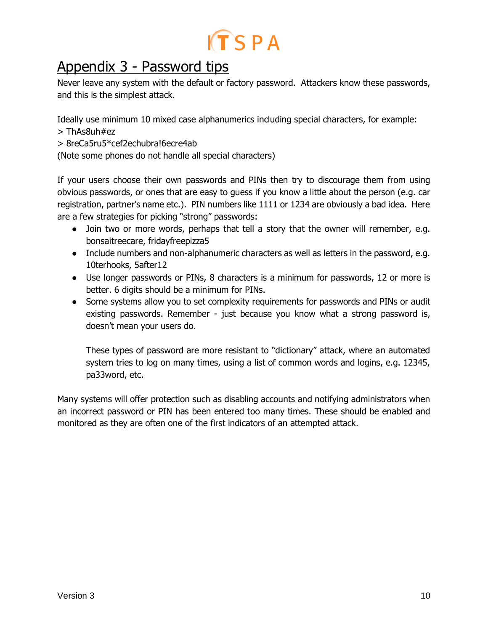

# <span id="page-10-0"></span>Appendix 3 - Password tips

Never leave any system with the default or factory password. Attackers know these passwords, and this is the simplest attack.

Ideally use minimum 10 mixed case alphanumerics including special characters, for example:

- > ThAs8uh#ez
- > 8reCa5ru5\*cef2echubra!6ecre4ab

(Note some phones do not handle all special characters)

If your users choose their own passwords and PINs then try to discourage them from using obvious passwords, or ones that are easy to guess if you know a little about the person (e.g. car registration, partner's name etc.). PIN numbers like 1111 or 1234 are obviously a bad idea. Here are a few strategies for picking "strong" passwords:

- Join two or more words, perhaps that tell a story that the owner will remember, e.g. bonsaitreecare, fridayfreepizza5
- Include numbers and non-alphanumeric characters as well as letters in the password, e.g. 10terhooks, 5after12
- Use longer passwords or PINs, 8 characters is a minimum for passwords, 12 or more is better. 6 digits should be a minimum for PINs.
- Some systems allow you to set complexity requirements for passwords and PINs or audit existing passwords. Remember - just because you know what a strong password is, doesn't mean your users do.

These types of password are more resistant to "dictionary" attack, where an automated system tries to log on many times, using a list of common words and logins, e.g. 12345, pa33word, etc.

Many systems will offer protection such as disabling accounts and notifying administrators when an incorrect password or PIN has been entered too many times. These should be enabled and monitored as they are often one of the first indicators of an attempted attack.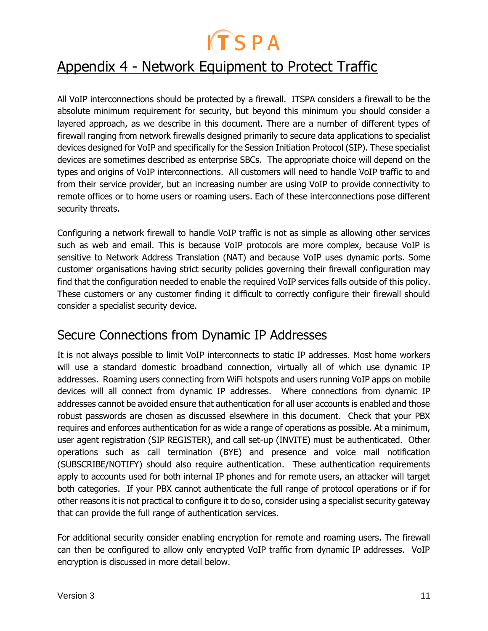# <span id="page-11-0"></span>Appendix 4 - Network Equipment to Protect Traffic

All VoIP interconnections should be protected by a firewall. ITSPA considers a firewall to be the absolute minimum requirement for security, but beyond this minimum you should consider a layered approach, as we describe in this document. There are a number of different types of firewall ranging from network firewalls designed primarily to secure data applications to specialist devices designed for VoIP and specifically for the Session Initiation Protocol (SIP). These specialist devices are sometimes described as enterprise SBCs. The appropriate choice will depend on the types and origins of VoIP interconnections. All customers will need to handle VoIP traffic to and from their service provider, but an increasing number are using VoIP to provide connectivity to remote offices or to home users or roaming users. Each of these interconnections pose different security threats.

Configuring a network firewall to handle VoIP traffic is not as simple as allowing other services such as web and email. This is because VoIP protocols are more complex, because VoIP is sensitive to Network Address Translation (NAT) and because VoIP uses dynamic ports. Some customer organisations having strict security policies governing their firewall configuration may find that the configuration needed to enable the required VoIP services falls outside of this policy. These customers or any customer finding it difficult to correctly configure their firewall should consider a specialist security device.

### <span id="page-11-1"></span>Secure Connections from Dynamic IP Addresses

It is not always possible to limit VoIP interconnects to static IP addresses. Most home workers will use a standard domestic broadband connection, virtually all of which use dynamic IP addresses. Roaming users connecting from WiFi hotspots and users running VoIP apps on mobile devices will all connect from dynamic IP addresses. Where connections from dynamic IP addresses cannot be avoided ensure that authentication for all user accounts is enabled and those robust passwords are chosen as discussed elsewhere in this document. Check that your PBX requires and enforces authentication for as wide a range of operations as possible. At a minimum, user agent registration (SIP REGISTER), and call set-up (INVITE) must be authenticated. Other operations such as call termination (BYE) and presence and voice mail notification (SUBSCRIBE/NOTIFY) should also require authentication. These authentication requirements apply to accounts used for both internal IP phones and for remote users, an attacker will target both categories. If your PBX cannot authenticate the full range of protocol operations or if for other reasons it is not practical to configure it to do so, consider using a specialist security gateway that can provide the full range of authentication services.

For additional security consider enabling encryption for remote and roaming users. The firewall can then be configured to allow only encrypted VoIP traffic from dynamic IP addresses. VoIP encryption is discussed in more detail below.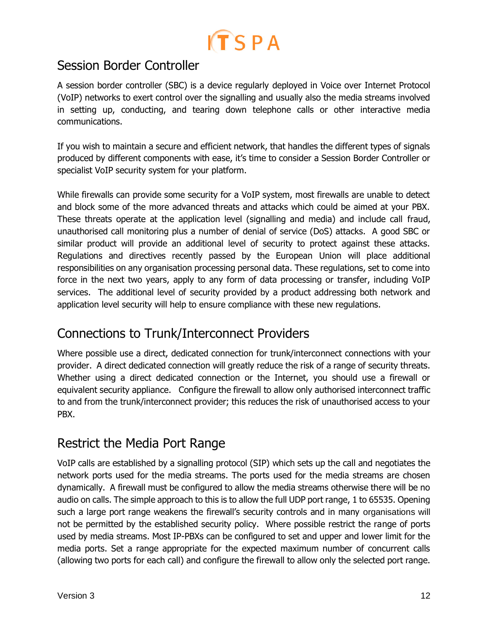

### <span id="page-12-0"></span>Session Border Controller

A session border controller (SBC) is a device regularly deployed in Voice over Internet Protocol (VoIP) networks to exert control over the signalling and usually also the media streams involved in setting up, conducting, and tearing down telephone calls or other interactive media communications.

If you wish to maintain a secure and efficient network, that handles the different types of signals produced by different components with ease, it's time to consider a Session Border Controller or specialist VoIP security system for your platform.

While firewalls can provide some security for a VoIP system, most firewalls are unable to detect and block some of the more advanced threats and attacks which could be aimed at your PBX. These threats operate at the application level (signalling and media) and include call fraud, unauthorised call monitoring plus a number of denial of service (DoS) attacks. A good SBC or similar product will provide an additional level of security to protect against these attacks. Regulations and directives recently passed by the European Union will place additional responsibilities on any organisation processing personal data. These regulations, set to come into force in the next two years, apply to any form of data processing or transfer, including VoIP services. The additional level of security provided by a product addressing both network and application level security will help to ensure compliance with these new regulations.

### <span id="page-12-1"></span>Connections to Trunk/Interconnect Providers

Where possible use a direct, dedicated connection for trunk/interconnect connections with your provider. A direct dedicated connection will greatly reduce the risk of a range of security threats. Whether using a direct dedicated connection or the Internet, you should use a firewall or equivalent security appliance. Configure the firewall to allow only authorised interconnect traffic to and from the trunk/interconnect provider; this reduces the risk of unauthorised access to your PBX.

### <span id="page-12-2"></span>Restrict the Media Port Range

VoIP calls are established by a signalling protocol (SIP) which sets up the call and negotiates the network ports used for the media streams. The ports used for the media streams are chosen dynamically. A firewall must be configured to allow the media streams otherwise there will be no audio on calls. The simple approach to this is to allow the full UDP port range, 1 to 65535. Opening such a large port range weakens the firewall's security controls and in many organisations will not be permitted by the established security policy. Where possible restrict the range of ports used by media streams. Most IP-PBXs can be configured to set and upper and lower limit for the media ports. Set a range appropriate for the expected maximum number of concurrent calls (allowing two ports for each call) and configure the firewall to allow only the selected port range.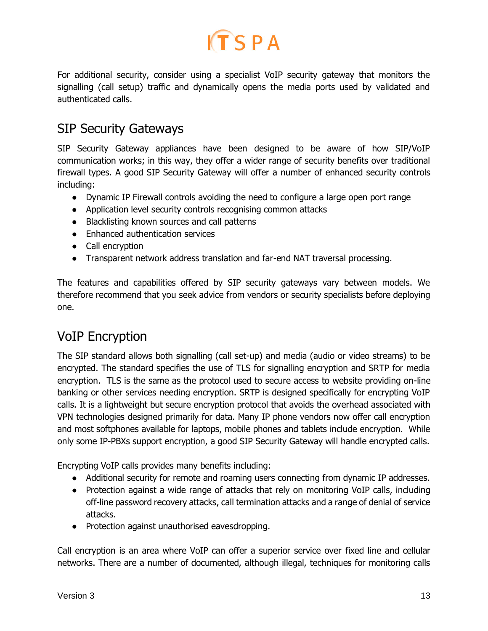

For additional security, consider using a specialist VoIP security gateway that monitors the signalling (call setup) traffic and dynamically opens the media ports used by validated and authenticated calls.

### <span id="page-13-0"></span>SIP Security Gateways

SIP Security Gateway appliances have been designed to be aware of how SIP/VoIP communication works; in this way, they offer a wider range of security benefits over traditional firewall types. A good SIP Security Gateway will offer a number of enhanced security controls including:

- Dynamic IP Firewall controls avoiding the need to configure a large open port range
- Application level security controls recognising common attacks
- Blacklisting known sources and call patterns
- Enhanced authentication services
- Call encryption
- Transparent network address translation and far-end NAT traversal processing.

The features and capabilities offered by SIP security gateways vary between models. We therefore recommend that you seek advice from vendors or security specialists before deploying one.

### <span id="page-13-1"></span>VoIP Encryption

The SIP standard allows both signalling (call set-up) and media (audio or video streams) to be encrypted. The standard specifies the use of TLS for signalling encryption and SRTP for media encryption. TLS is the same as the protocol used to secure access to website providing on-line banking or other services needing encryption. SRTP is designed specifically for encrypting VoIP calls. It is a lightweight but secure encryption protocol that avoids the overhead associated with VPN technologies designed primarily for data. Many IP phone vendors now offer call encryption and most softphones available for laptops, mobile phones and tablets include encryption. While only some IP-PBXs support encryption, a good SIP Security Gateway will handle encrypted calls.

Encrypting VoIP calls provides many benefits including:

- Additional security for remote and roaming users connecting from dynamic IP addresses.
- Protection against a wide range of attacks that rely on monitoring VoIP calls, including off-line password recovery attacks, call termination attacks and a range of denial of service attacks.
- Protection against unauthorised eavesdropping.

Call encryption is an area where VoIP can offer a superior service over fixed line and cellular networks. There are a number of documented, although illegal, techniques for monitoring calls